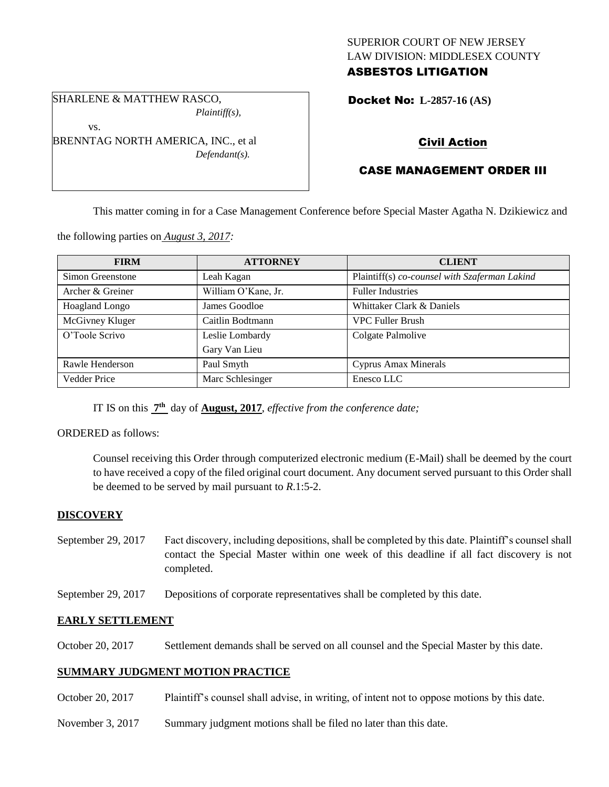## SUPERIOR COURT OF NEW JERSEY LAW DIVISION: MIDDLESEX COUNTY ASBESTOS LITIGATION

Docket No: **L-2857-16 (AS)** 

# Civil Action

# CASE MANAGEMENT ORDER III

This matter coming in for a Case Management Conference before Special Master Agatha N. Dzikiewicz and

the following parties on *August 3, 2017:*

SHARLENE & MATTHEW RASCO,

BRENNTAG NORTH AMERICA, INC., et al

vs.

*Plaintiff(s),*

*Defendant(s).*

| <b>FIRM</b>         | <b>ATTORNEY</b>     | <b>CLIENT</b>                                 |
|---------------------|---------------------|-----------------------------------------------|
| Simon Greenstone    | Leah Kagan          | Plaintiff(s) co-counsel with Szaferman Lakind |
| Archer & Greiner    | William O'Kane, Jr. | <b>Fuller Industries</b>                      |
| Hoagland Longo      | James Goodloe       | Whittaker Clark & Daniels                     |
| McGivney Kluger     | Caitlin Bodtmann    | <b>VPC Fuller Brush</b>                       |
| O'Toole Scrivo      | Leslie Lombardy     | Colgate Palmolive                             |
|                     | Gary Van Lieu       |                                               |
| Rawle Henderson     | Paul Smyth          | Cyprus Amax Minerals                          |
| <b>Vedder Price</b> | Marc Schlesinger    | Enesco LLC                                    |

IT IS on this **7 th** day of **August, 2017**, *effective from the conference date;*

## ORDERED as follows:

Counsel receiving this Order through computerized electronic medium (E-Mail) shall be deemed by the court to have received a copy of the filed original court document. Any document served pursuant to this Order shall be deemed to be served by mail pursuant to *R*.1:5-2.

## **DISCOVERY**

- September 29, 2017 Fact discovery, including depositions, shall be completed by this date. Plaintiff's counsel shall contact the Special Master within one week of this deadline if all fact discovery is not completed.
- September 29, 2017 Depositions of corporate representatives shall be completed by this date.

## **EARLY SETTLEMENT**

October 20, 2017 Settlement demands shall be served on all counsel and the Special Master by this date.

## **SUMMARY JUDGMENT MOTION PRACTICE**

- October 20, 2017 Plaintiff's counsel shall advise, in writing, of intent not to oppose motions by this date.
- November 3, 2017 Summary judgment motions shall be filed no later than this date.